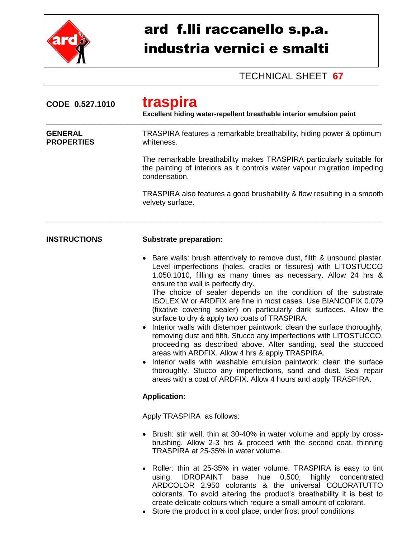

## ard f.lli raccanello s.p.a. industria vernici e smalti

## TECHNICAL SHEET **67**

| CODE 0.527.1010                     | traspira<br>Excellent hiding water-repellent breathable interior emulsion paint                                                                                                                                                                                                                                                                                                                                                                                                                                                                                                                                                                                                                                                                                                                                                                                                                                                                                                                 |  |  |
|-------------------------------------|-------------------------------------------------------------------------------------------------------------------------------------------------------------------------------------------------------------------------------------------------------------------------------------------------------------------------------------------------------------------------------------------------------------------------------------------------------------------------------------------------------------------------------------------------------------------------------------------------------------------------------------------------------------------------------------------------------------------------------------------------------------------------------------------------------------------------------------------------------------------------------------------------------------------------------------------------------------------------------------------------|--|--|
| <b>GENERAL</b><br><b>PROPERTIES</b> | TRASPIRA features a remarkable breathability, hiding power & optimum<br>whiteness.                                                                                                                                                                                                                                                                                                                                                                                                                                                                                                                                                                                                                                                                                                                                                                                                                                                                                                              |  |  |
|                                     | The remarkable breathability makes TRASPIRA particularly suitable for<br>the painting of interiors as it controls water vapour migration impeding<br>condensation.                                                                                                                                                                                                                                                                                                                                                                                                                                                                                                                                                                                                                                                                                                                                                                                                                              |  |  |
|                                     | TRASPIRA also features a good brushability & flow resulting in a smooth<br>velvety surface.                                                                                                                                                                                                                                                                                                                                                                                                                                                                                                                                                                                                                                                                                                                                                                                                                                                                                                     |  |  |
| <b>INSTRUCTIONS</b>                 | <b>Substrate preparation:</b>                                                                                                                                                                                                                                                                                                                                                                                                                                                                                                                                                                                                                                                                                                                                                                                                                                                                                                                                                                   |  |  |
|                                     | Bare walls: brush attentively to remove dust, filth & unsound plaster.<br>Level imperfections (holes, cracks or fissures) with LITOSTUCCO<br>1.050.1010, filling as many times as necessary. Allow 24 hrs &<br>ensure the wall is perfectly dry.<br>The choice of sealer depends on the condition of the substrate<br>ISOLEX W or ARDFIX are fine in most cases. Use BIANCOFIX 0.079<br>(fixative covering sealer) on particularly dark surfaces. Allow the<br>surface to dry & apply two coats of TRASPIRA.<br>Interior walls with distemper paintwork: clean the surface thoroughly,<br>removing dust and filth. Stucco any imperfections with LITOSTUCCO,<br>proceeding as described above. After sanding, seal the stuccoed<br>areas with ARDFIX. Allow 4 hrs & apply TRASPIRA.<br>Interior walls with washable emulsion paintwork: clean the surface<br>thoroughly. Stucco any imperfections, sand and dust. Seal repair<br>areas with a coat of ARDFIX. Allow 4 hours and apply TRASPIRA. |  |  |
|                                     | <b>Application:</b>                                                                                                                                                                                                                                                                                                                                                                                                                                                                                                                                                                                                                                                                                                                                                                                                                                                                                                                                                                             |  |  |
|                                     | Apply TRASPIRA as follows:                                                                                                                                                                                                                                                                                                                                                                                                                                                                                                                                                                                                                                                                                                                                                                                                                                                                                                                                                                      |  |  |
|                                     | • Brush: stir well, thin at 30-40% in water volume and apply by cross-<br>brushing. Allow 2-3 hrs & proceed with the second coat, thinning<br>TRASPIRA at 25-35% in water volume.                                                                                                                                                                                                                                                                                                                                                                                                                                                                                                                                                                                                                                                                                                                                                                                                               |  |  |
|                                     | • Roller: thin at 25-35% in water volume. TRASPIRA is easy to tint<br>hue<br>0.500,<br>highly<br>concentrated<br>using:<br><b>IDROPAINT</b> base<br>ARDCOLOR 2.950 colorants & the universal COLORATUTTO<br>colorants. To avoid altering the product's breathability it is best to<br>create delicate colours which require a small amount of colorant.<br>Store the product in a cool place: under frest proof conditions                                                                                                                                                                                                                                                                                                                                                                                                                                                                                                                                                                      |  |  |

Store the product in a cool place; under frost proof conditions.